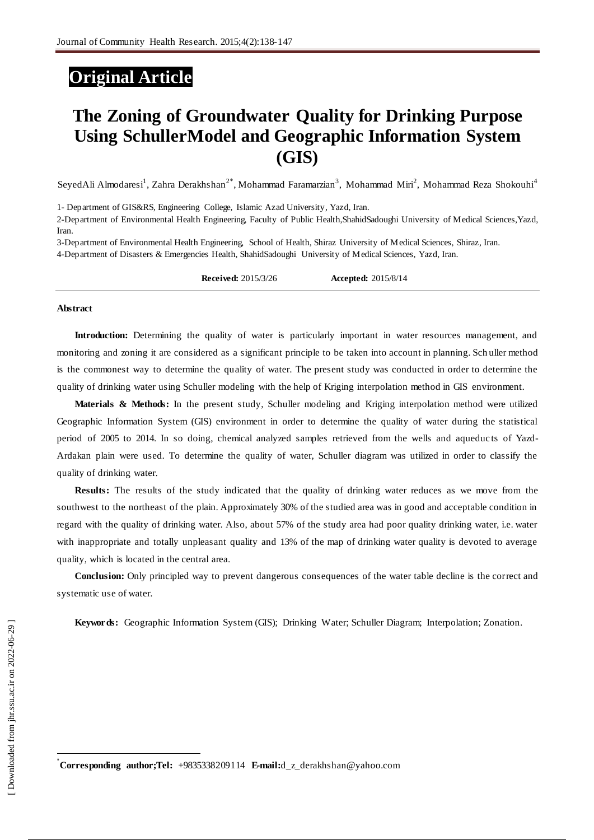## **Original Article**

# **The Zoning of Groundwater Quality for Drinking Purpose Using SchullerModel and Geographic Information System (GIS)**

SeyedAli Almodaresi<sup>1</sup>, Zahra Derakhshan<sup>2\*</sup>, Mohammad Faramarzian<sup>3</sup>, Mohammad Miri<sup>2</sup>, Mohammad Reza Shokouhi<sup>4</sup>

1- Department of GIS&RS, Engineering College, Islamic Azad University, Yazd, Iran.

2-Department of Environmental Health Engineering, Faculty of Public Health,ShahidSadoughi University of Medical Sciences,Yazd, Iran.

3-Department of Environmental Health Engineering, School of Health, Shiraz University of Medical Sciences, Shiraz, Iran. 4-Department of Disasters & Emergencies Health, ShahidSadoughi University of Medical Sciences, Yazd, Iran.

**Received:** 2015/3/26 **Accepted:** 2015/8/14

#### **Abstract**

**Introduction:** Determining the quality of water is particularly important in water resources management, and monitoring and zoning it are considered as a significant principle to be taken into account in planning. Sch uller method is the commonest way to determine the quality of water. The present study was conducted in order to determine the quality of drinking water using Schuller modeling with the help of Kriging interpolation method in GIS environment.

**Materials & Methods:** In the present study, Schuller modeling and Kriging interpolation method were utilized Geographic Information System (GIS) environment in order to determine the quality of water during the statistical period of 2005 to 2014. In so doing, chemical analyzed samples retrieved from the wells and aqueduc ts of Yazd-Ardakan plain were used. To determine the quality of water, Schuller diagram was utilized in order to classify the quality of drinking water.

**Results:** The results of the study indicated that the quality of drinking water reduces as we move from the southwest to the northeast of the plain. Approximately 30% of the studied area was in good and acceptable condition in regard with the quality of drinking water. Also, about 57% of the study area had poor quality drinking water, i.e. water with inappropriate and totally unpleasant quality and 13% of the map of drinking water quality is devoted to average quality, which is located in the central area.

**Conclusion:** Only principled way to prevent dangerous consequences of the water table decline is the correct and systematic use of water.

**Keywords:** Geographic Information System (GIS); Drinking Water; Schuller Diagram; Interpolation; Zonation.

 $\overline{a}$ 

\***Corresponding author;Tel:** +9835338209114 **E-mail:**d\_z\_derakhshan@yahoo.com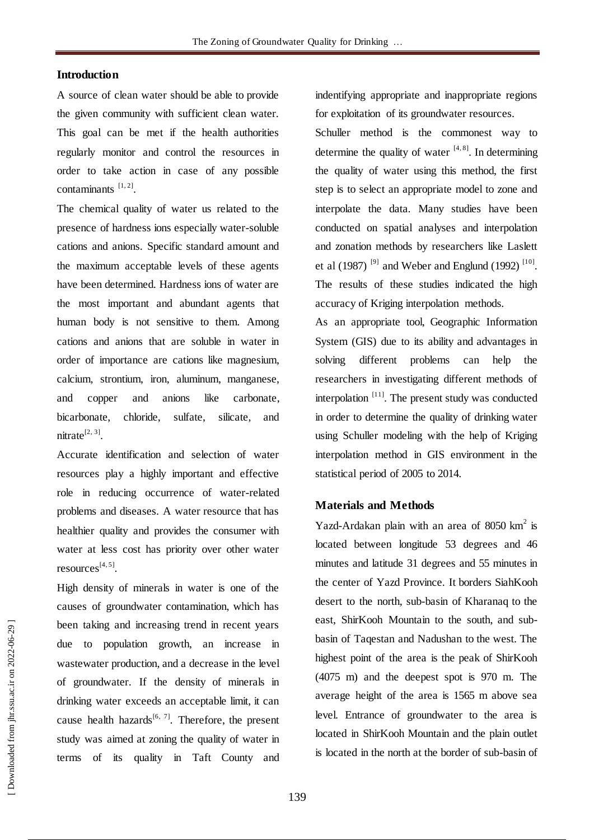## **Introduction**

A source of clean water should be able to provide the given community with sufficient clean water. This goal can be met if the health authorities regularly monitor and control the resources in order to take action in case of any possible contaminants  $[1, 2]$ .

The chemical quality of water us related to the presence of hardness ions especially water-soluble cations and anions. Specific standard amount and the maximum acceptable levels of these agents have been determined. Hardness ions of water are the most important and abundant agents that human body is not sensitive to them. Among cations and anions that are soluble in water in order of importance are cations like magnesium, calcium, strontium, iron, aluminum, manganese, and copper and anions like carbonate, bicarbonate, chloride, sulfate, silicate, and  $n$ itrate<sup>[2, 3]</sup>.

Accurate identification and selection of water resources play a highly important and effective role in reducing occurrence of water-related problems and diseases. A water resource that has healthier quality and provides the consumer with water at less cost has priority over other water resources<sup>[4, 5]</sup>.

High density of minerals in water is one of the causes of groundwater contamination, which has been taking and increasing trend in recent years due to population growth, an increase in wastewater production, and a decrease in the level of groundwater. If the density of minerals in drinking water exceeds an acceptable limit, it can cause health hazards<sup>[6, 7]</sup>. Therefore, the present study was aimed at zoning the quality of water in terms of its quality in Taft County and

indentifying appropriate and inappropriate regions for exploitation of its groundwater resources.

Schuller method is the commonest way to determine the quality of water  $[4, 8]$ . In determining the quality of water using this method, the first step is to select an appropriate model to zone and interpolate the data. Many studies have been conducted on spatial analyses and interpolation and zonation methods by researchers like Laslett et al (1987)<sup>[9]</sup> and Weber and Englund (1992)<sup>[10]</sup>. The results of these studies indicated the high accuracy of Kriging interpolation methods.

As an appropriate tool, Geographic Information System (GIS) due to its ability and advantages in solving different problems can help the researchers in investigating different methods of interpolation<sup>[11]</sup>. The present study was conducted in order to determine the quality of drinking water using Schuller modeling with the help of Kriging interpolation method in GIS environment in the statistical period of 2005 to 2014.

## **Materials and Methods**

Yazd-Ardakan plain with an area of  $8050 \text{ km}^2$  is located between longitude 53 degrees and 46 minutes and latitude 31 degrees and 55 minutes in the center of Yazd Province. It borders SiahKooh desert to the north, sub-basin of Kharanaq to the east, ShirKooh Mountain to the south, and subbasin of Taqestan and Nadushan to the west. The highest point of the area is the peak of ShirKooh (4075 m) and the deepest spot is 970 m. The average height of the area is 1565 m above sea level. Entrance of groundwater to the area is located in ShirKooh Mountain and the plain outlet is located in the north at the border of sub-basin of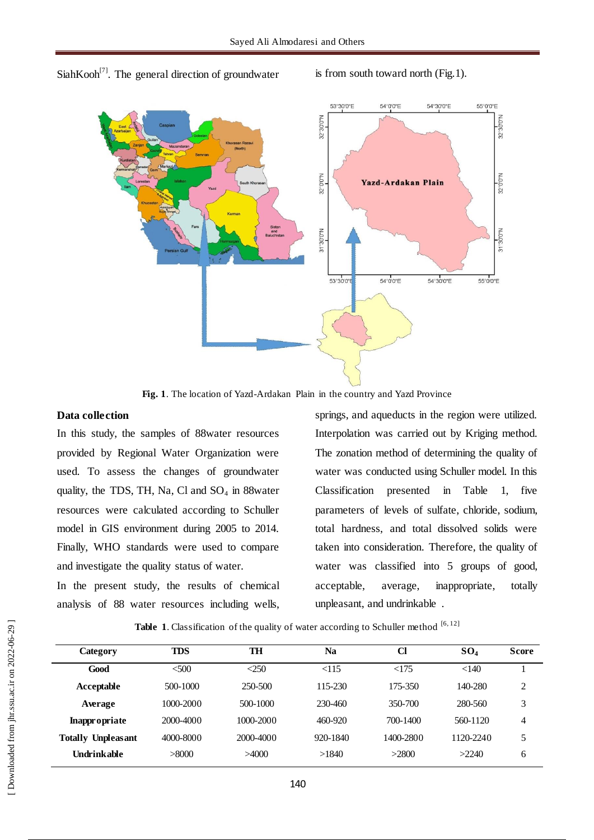SiahKooh<sup>[7]</sup>. The general direction of groundwater is from south toward north (Fig.1).



**Fig. 1**. The location of Yazd-Ardakan Plain in the country and Yazd Province

## **Data collection**

In this study, the samples of 88water resources provided by Regional Water Organization were used. To assess the changes of groundwater quality, the TDS, TH, Na, Cl and  $SO_4$  in 88water resources were calculated according to Schuller model in GIS environment during 2005 to 2014. Finally, WHO standards were used to compare and investigate the quality status of water.

In the present study, the results of chemical analysis of 88 water resources including wells,

springs, and aqueducts in the region were utilized. Interpolation was carried out by Kriging method. The zonation method of determining the quality of water was conducted using Schuller model. In this Classification presented in Table 1, five parameters of levels of sulfate, chloride, sodium, total hardness, and total dissolved solids were taken into consideration. Therefore, the quality of water was classified into 5 groups of good, acceptable, average, inappropriate, totally unpleasant, and undrinkable .

Table 1. Classification of the quality of water according to Schuller method [6,12]

| <b>TDS</b><br><b>Category</b> |           | TH         | Na       | Cl        | $SO_4$    | <b>Score</b>   |  |
|-------------------------------|-----------|------------|----------|-----------|-----------|----------------|--|
| Good                          | &500      | $\leq$ 250 | < 115    | <175      | < 140     |                |  |
| Acceptable                    | 500-1000  | 250-500    | 115-230  | 175-350   | 140-280   | $\overline{c}$ |  |
| Average                       | 1000-2000 | 500-1000   | 230-460  | 350-700   | 280-560   | 3              |  |
| <b>Inappropriate</b>          | 2000-4000 | 1000-2000  | 460-920  | 700-1400  | 560-1120  | 4              |  |
| <b>Totally Unpleasant</b>     | 4000-8000 | 2000-4000  | 920-1840 | 1400-2800 | 1120-2240 | 5              |  |
| Undrinkable                   | >8000     | >4000      | >1840    | >2800     | >2240     | 6              |  |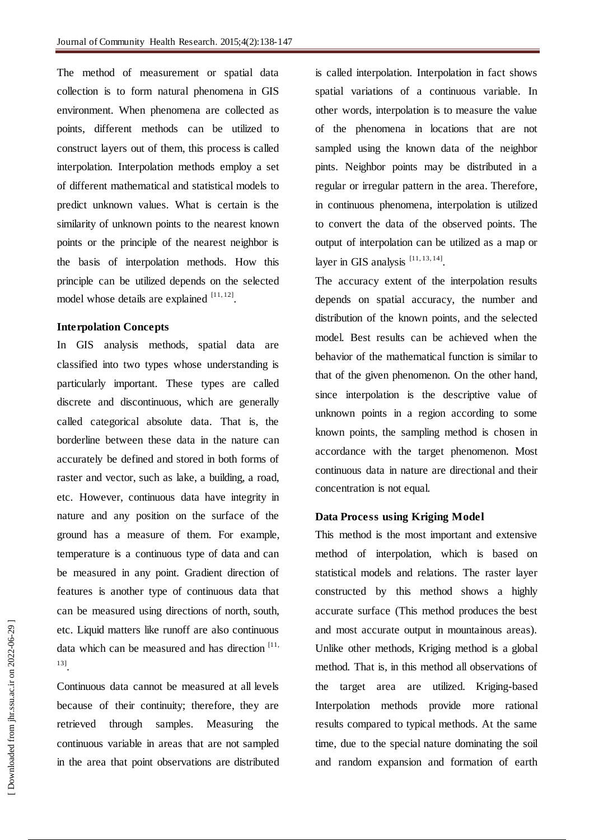The method of measurement or spatial data collection is to form natural phenomena in GIS environment. When phenomena are collected as points, different methods can be utilized to construct layers out of them, this process is called interpolation. Interpolation methods employ a set of different mathematical and statistical models to predict unknown values. What is certain is the similarity of unknown points to the nearest known points or the principle of the nearest neighbor is the basis of interpolation methods. How this principle can be utilized depends on the selected model whose details are explained  $[11, 12]$ .

#### **Interpolation Concepts**

In GIS analysis methods, spatial data are classified into two types whose understanding is particularly important. These types are called discrete and discontinuous, which are generally called categorical absolute data. That is, the borderline between these data in the nature can accurately be defined and stored in both forms of raster and vector, such as lake, a building, a road, etc. However, continuous data have integrity in nature and any position on the surface of the ground has a measure of them. For example, temperature is a continuous type of data and can be measured in any point. Gradient direction of features is another type of continuous data that can be measured using directions of north, south, etc. Liquid matters like runoff are also continuous data which can be measured and has direction [11, 13] .

Continuous data cannot be measured at all levels because of their continuity; therefore, they are retrieved through samples. Measuring the continuous variable in areas that are not sampled in the area that point observations are distributed is called interpolation. Interpolation in fact shows spatial variations of a continuous variable. In other words, interpolation is to measure the value of the phenomena in locations that are not sampled using the known data of the neighbor pints. Neighbor points may be distributed in a regular or irregular pattern in the area. Therefore, in continuous phenomena, interpolation is utilized to convert the data of the observed points. The output of interpolation can be utilized as a map or layer in GIS analysis  $[11, 13, 14]$ .

The accuracy extent of the interpolation results depends on spatial accuracy, the number and distribution of the known points, and the selected model. Best results can be achieved when the behavior of the mathematical function is similar to that of the given phenomenon. On the other hand, since interpolation is the descriptive value of unknown points in a region according to some known points, the sampling method is chosen in accordance with the target phenomenon. Most continuous data in nature are directional and their concentration is not equal.

#### **Data Process using Kriging Model**

This method is the most important and extensive method of interpolation, which is based on statistical models and relations. The raster layer constructed by this method shows a highly accurate surface (This method produces the best and most accurate output in mountainous areas). Unlike other methods, Kriging method is a global method. That is, in this method all observations of the target area are utilized. Kriging-based Interpolation methods provide more rational results compared to typical methods. At the same time, due to the special nature dominating the soil and random expansion and formation of earth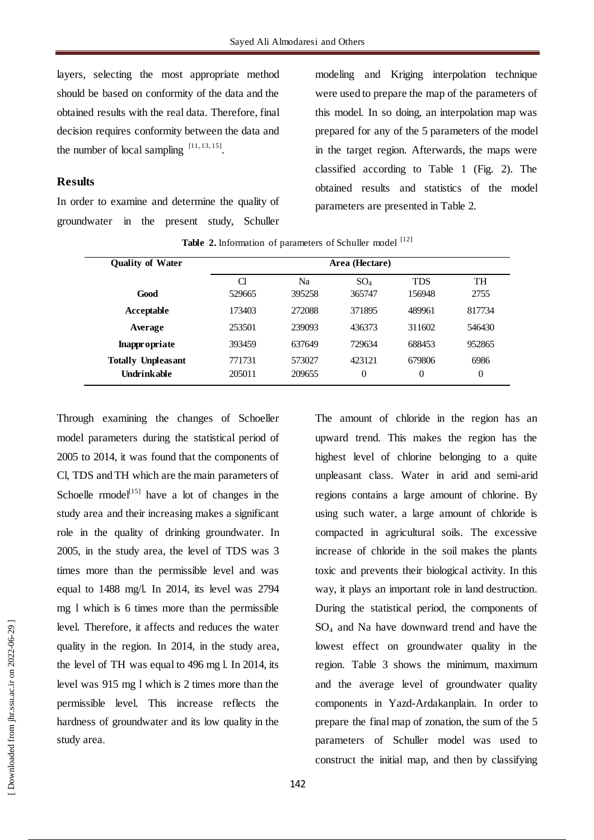layers, selecting the most appropriate method should be based on conformity of the data and the obtained results with the real data. Therefore, final decision requires conformity between the data and the number of local sampling  $[11, 13, 15]$ .

## **Results**

In order to examine and determine the quality of groundwater in the present study, Schuller modeling and Kriging interpolation technique were used to prepare the map of the parameters of this model. In so doing, an interpolation map was prepared for any of the 5 parameters of the model in the target region. Afterwards, the maps were classified according to Table 1 (Fig. 2). The obtained results and statistics of the model parameters are presented in Table 2.

| <b>Quality of Water</b>   | Area (Hectare) |        |        |                |                |  |  |  |  |
|---------------------------|----------------|--------|--------|----------------|----------------|--|--|--|--|
|                           | Cl             | Na     | $SO_4$ | <b>TDS</b>     | TH             |  |  |  |  |
| Good                      | 529665         | 395258 | 365747 | 156948         | 2755           |  |  |  |  |
| Acceptable                | 173403         | 272088 | 371895 | 489961         | 817734         |  |  |  |  |
| Average                   | 253501         | 239093 | 436373 | 311602         | 546430         |  |  |  |  |
| Inappropriate             | 393459         | 637649 | 729634 | 688453         | 952865         |  |  |  |  |
| <b>Totally Unpleasant</b> | 771731         | 573027 | 423121 | 679806         | 6986           |  |  |  |  |
| Undrinkable               | 205011         | 209655 | 0      | $\overline{0}$ | $\overline{0}$ |  |  |  |  |

Table 2. Information of parameters of Schuller model [12]

Through examining the changes of Schoeller model parameters during the statistical period of 2005 to 2014, it was found that the components of Cl, TDS and TH which are the main parameters of Schoelle  $rmodeI<sup>[15]</sup>$  have a lot of changes in the study area and their increasing makes a significant role in the quality of drinking groundwater. In 2005, in the study area, the level of TDS was 3 times more than the permissible level and was equal to 1488 mg/l. In 2014, its level was 2794 mg l which is 6 times more than the permissible level. Therefore, it affects and reduces the water quality in the region. In 2014, in the study area, the level of TH was equal to 496 mg l. In 2014, its level was 915 mg l which is 2 times more than the permissible level. This increase reflects the hardness of groundwater and its low quality in the study area.

The amount of chloride in the region has an upward trend. This makes the region has the highest level of chlorine belonging to a quite unpleasant class. Water in arid and semi-arid regions contains a large amount of chlorine. By using such water, a large amount of chloride is compacted in agricultural soils. The excessive increase of chloride in the soil makes the plants toxic and prevents their biological activity. In this way, it plays an important role in land destruction. During the statistical period, the components of SO<sup>4</sup> and Na have downward trend and have the lowest effect on groundwater quality in the region. Table 3 shows the minimum, maximum and the average level of groundwater quality components in Yazd-Ardakanplain. In order to prepare the final map of zonation, the sum of the 5 parameters of Schuller model was used to construct the initial map, and then by classifying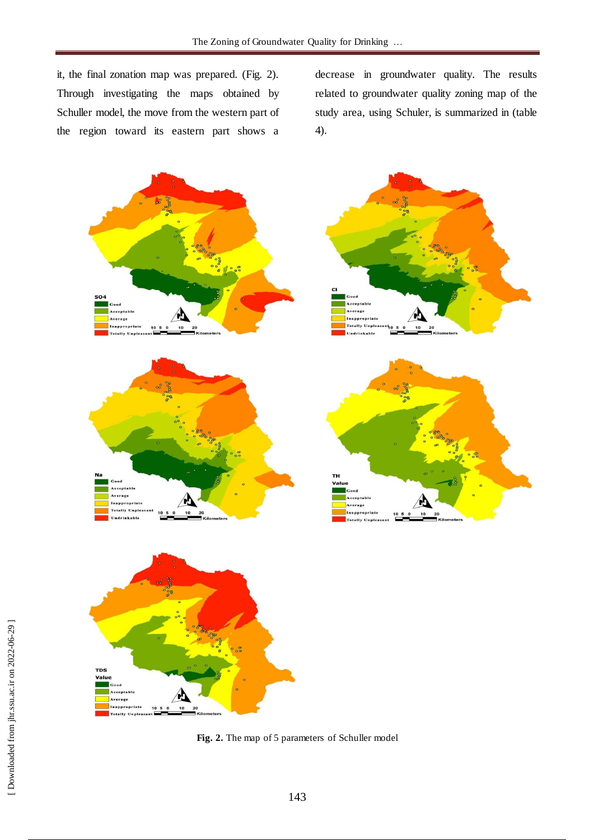it, the final zonation map was prepared. (Fig. 2). Through investigating the maps obtained by Schuller model, the move from the western part of the region toward its eastern part shows a

decrease in groundwater quality. The results related to groundwater quality zoning map of the study area, using Schuler, is summarized in (table 4).





**Fig. 2.** The map of 5 parameters of Schuller model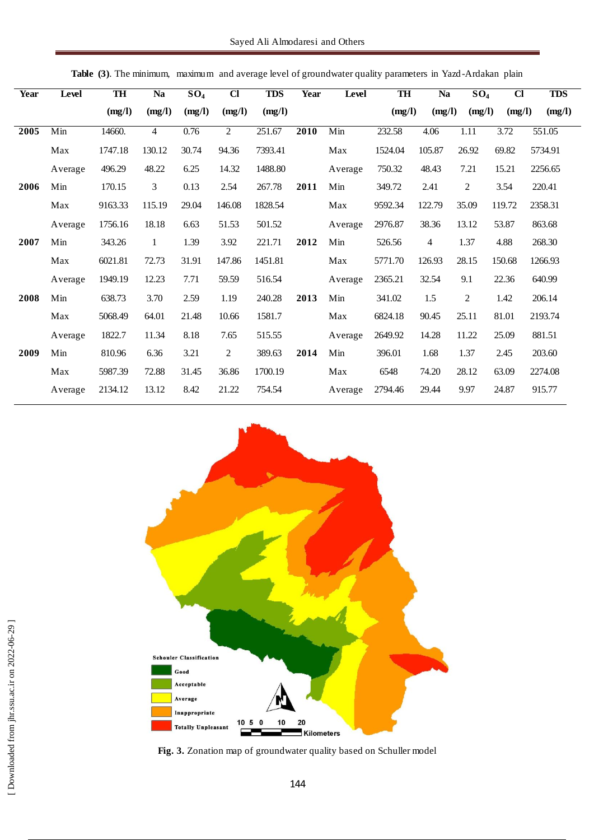| <b>Year</b> | Level   | TH      | Na             | SO <sub>4</sub> | $\overline{a}$ | <b>TDS</b> | <b>Year</b> | Level   | TH      | <b>Na</b>      | $\overline{SO_4}$ | $\overline{c}$ | <b>TDS</b> |
|-------------|---------|---------|----------------|-----------------|----------------|------------|-------------|---------|---------|----------------|-------------------|----------------|------------|
|             |         | (mg/l)  | (mg/l)         | (mg/l)          | (mg/l)         | (mg/l)     |             |         | (mg/l)  | (mg/l)         | (mg/l)            | (mg/l)         | (mg/l)     |
| 2005        | Min     | 14660.  | $\overline{4}$ | 0.76            | $\overline{2}$ | 251.67     | 2010        | Min     | 232.58  | 4.06           | 1.11              | 3.72           | 551.05     |
|             | Max     | 1747.18 | 130.12         | 30.74           | 94.36          | 7393.41    |             | Max     | 1524.04 | 105.87         | 26.92             | 69.82          | 5734.91    |
|             | Average | 496.29  | 48.22          | 6.25            | 14.32          | 1488.80    |             | Average | 750.32  | 48.43          | 7.21              | 15.21          | 2256.65    |
| 2006        | Min     | 170.15  | 3              | 0.13            | 2.54           | 267.78     | 2011        | Min     | 349.72  | 2.41           | $\boldsymbol{2}$  | 3.54           | 220.41     |
|             | Max     | 9163.33 | 115.19         | 29.04           | 146.08         | 1828.54    |             | Max     | 9592.34 | 122.79         | 35.09             | 119.72         | 2358.31    |
|             | Average | 1756.16 | 18.18          | 6.63            | 51.53          | 501.52     |             | Average | 2976.87 | 38.36          | 13.12             | 53.87          | 863.68     |
| 2007        | Min     | 343.26  | $\mathbf{1}$   | 1.39            | 3.92           | 221.71     | 2012        | Min     | 526.56  | $\overline{4}$ | 1.37              | 4.88           | 268.30     |
|             | Max     | 6021.81 | 72.73          | 31.91           | 147.86         | 1451.81    |             | Max     | 5771.70 | 126.93         | 28.15             | 150.68         | 1266.93    |
|             | Average | 1949.19 | 12.23          | 7.71            | 59.59          | 516.54     |             | Average | 2365.21 | 32.54          | 9.1               | 22.36          | 640.99     |
| 2008        | Min     | 638.73  | 3.70           | 2.59            | 1.19           | 240.28     | 2013        | Min     | 341.02  | 1.5            | $\overline{c}$    | 1.42           | 206.14     |
|             | Max     | 5068.49 | 64.01          | 21.48           | 10.66          | 1581.7     |             | Max     | 6824.18 | 90.45          | 25.11             | 81.01          | 2193.74    |
|             | Average | 1822.7  | 11.34          | 8.18            | 7.65           | 515.55     |             | Average | 2649.92 | 14.28          | 11.22             | 25.09          | 881.51     |
| 2009        | Min     | 810.96  | 6.36           | 3.21            | $\overline{c}$ | 389.63     | 2014        | Min     | 396.01  | 1.68           | 1.37              | 2.45           | 203.60     |
|             | Max     | 5987.39 | 72.88          | 31.45           | 36.86          | 1700.19    |             | Max     | 6548    | 74.20          | 28.12             | 63.09          | 2274.08    |
|             | Average | 2134.12 | 13.12          | 8.42            | 21.22          | 754.54     |             | Average | 2794.46 | 29.44          | 9.97              | 24.87          | 915.77     |



**Table (3)**. The minimum, maximum and average level of groundwater quality parameters in Yazd -Ardakan plain

**Fig. 3.** Zonation map of groundwater quality based on Schuller model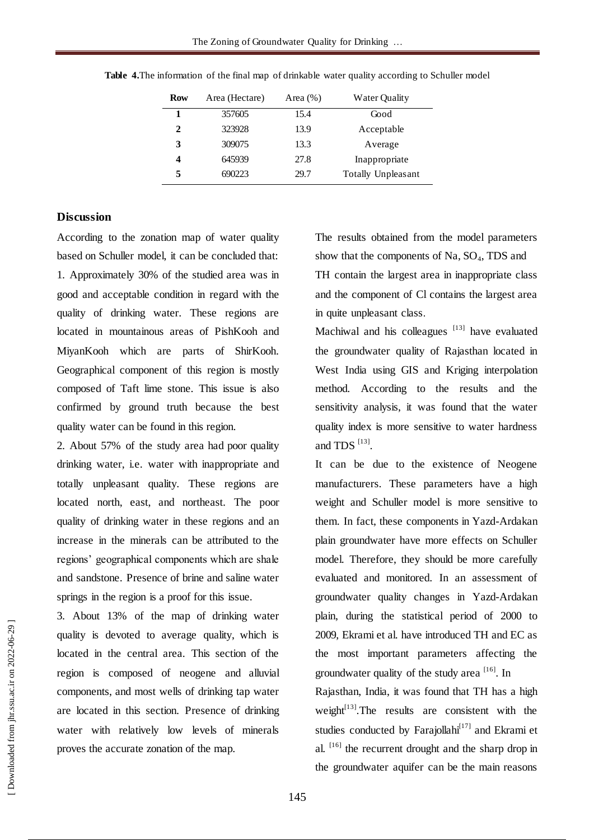| <b>Row</b> | Area (Hectare) | Area $(\%)$ | Water Quality      |
|------------|----------------|-------------|--------------------|
|            | 357605         | 15.4        | Good               |
| 2          | 323928         | 13.9        | Acceptable         |
| 3          | 309075         | 13.3        | Average            |
| 4          | 645939         | 27.8        | Inappropriate      |
| 5          | 690223         | 29.7        | Totally Unpleasant |

**Table 4.**The information of the final map of drinkable water quality according to Schuller model

## **Discussion**

According to the zonation map of water quality based on Schuller model, it can be concluded that: 1. Approximately 30% of the studied area was in good and acceptable condition in regard with the quality of drinking water. These regions are located in mountainous areas of PishKooh and MiyanKooh which are parts of ShirKooh. Geographical component of this region is mostly composed of Taft lime stone. This issue is also confirmed by ground truth because the best quality water can be found in this region.

2. About 57% of the study area had poor quality drinking water, i.e. water with inappropriate and totally unpleasant quality. These regions are located north, east, and northeast. The poor quality of drinking water in these regions and an increase in the minerals can be attributed to the regions' geographical components which are shale and sandstone. Presence of brine and saline water springs in the region is a proof for this issue.

3. About 13% of the map of drinking water quality is devoted to average quality, which is located in the central area. This section of the region is composed of neogene and alluvial components, and most wells of drinking tap water are located in this section. Presence of drinking water with relatively low levels of minerals proves the accurate zonation of the map.

The results obtained from the model parameters show that the components of Na,  $SO_4$ , TDS and TH contain the largest area in inappropriate class and the component of Cl contains the largest area in quite unpleasant class.

Machiwal and his colleagues [13] have evaluated the groundwater quality of Rajasthan located in West India using GIS and Kriging interpolation method. According to the results and the sensitivity analysis, it was found that the water quality index is more sensitive to water hardness and TDS  $^{[13]}$ .

It can be due to the existence of Neogene manufacturers. These parameters have a high weight and Schuller model is more sensitive to them. In fact, these components in Yazd-Ardakan plain groundwater have more effects on Schuller model. Therefore, they should be more carefully evaluated and monitored. In an assessment of groundwater quality changes in Yazd-Ardakan plain, during the statistical period of 2000 to 2009, Ekrami et al. have introduced TH and EC as the most important parameters affecting the groundwater quality of the study area [16]. In

Rajasthan, India, it was found that TH has a high weight $[13]$ . The results are consistent with the studies conducted by Farajollahi $[17]$  and Ekrami et al.  $[16]$  the recurrent drought and the sharp drop in the groundwater aquifer can be the main reasons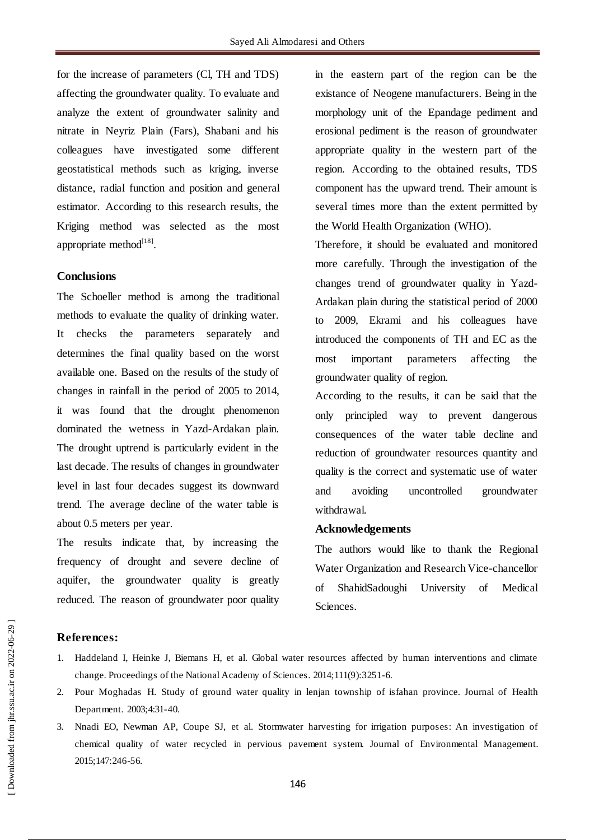for the increase of parameters (Cl, TH and TDS) affecting the groundwater quality. To evaluate and analyze the extent of groundwater salinity and nitrate in Neyriz Plain (Fars), Shabani and his colleagues have investigated some different geostatistical methods such as kriging, inverse distance, radial function and position and general estimator. According to this research results, the Kriging method was selected as the most appropriate method $^{[18]}$ .

## **Conclusions**

The Schoeller method is among the traditional methods to evaluate the quality of drinking water. It checks the parameters separately and determines the final quality based on the worst available one. Based on the results of the study of changes in rainfall in the period of 2005 to 2014, it was found that the drought phenomenon dominated the wetness in Yazd-Ardakan plain. The drought uptrend is particularly evident in the last decade. The results of changes in groundwater level in last four decades suggest its downward trend. The average decline of the water table is about 0.5 meters per year.

The results indicate that, by increasing the frequency of drought and severe decline of aquifer, the groundwater quality is greatly reduced. The reason of groundwater poor quality

in the eastern part of the region can be the existance of Neogene manufacturers. Being in the morphology unit of the Epandage pediment and erosional pediment is the reason of groundwater appropriate quality in the western part of the region. According to the obtained results, TDS component has the upward trend. Their amount is several times more than the extent permitted by the World Health Organization (WHO).

Therefore, it should be evaluated and monitored more carefully. Through the investigation of the changes trend of groundwater quality in Yazd-Ardakan plain during the statistical period of 2000 to 2009, Ekrami and his colleagues have introduced the components of TH and EC as the most important parameters affecting the groundwater quality of region.

According to the results, it can be said that the only principled way to prevent dangerous consequences of the water table decline and reduction of groundwater resources quantity and quality is the correct and systematic use of water and avoiding uncontrolled groundwater withdrawal.

## **Acknowledgements**

The authors would like to thank the Regional Water Organization and Research Vice-chancellor of ShahidSadoughi University of Medical Sciences.

### **References:**

- 1. Haddeland I, Heinke J, Biemans H, et al. Global water resources affected by human interventions and climate change. Proceedings of the National Academy of Sciences. 2014;111(9):3251-6.
- 2. Pour Moghadas H. Study of ground water quality in lenjan township of isfahan province. Journal of Health Department. 2003;4:31-40.
- 3. Nnadi EO, Newman AP, Coupe SJ, et al. Stormwater harvesting for irrigation purposes: An investigation of chemical quality of water recycled in pervious pavement system. Journal of Environmental Management. 2015;147:246-56.